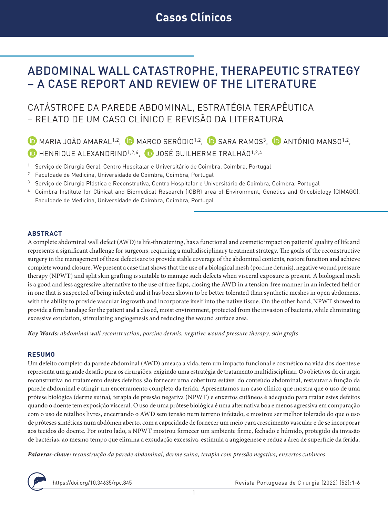# ABDOMINAL WALL CATASTROPHE, THERAPEUTIC STRATEGY – A CASE REPORT AND REVIEW OF THE LITERATURE

## CATÁSTROFE DA PAREDE ABDOMINAL, ESTRATÉGIA TERAPÊUTICA – RELATO DE UM CASO CLÍNICO E REVISÃO DA LITERATURA

 $\overline{D}$  MARIA JOÃO AMARAL<sup>1,2</sup>,  $\overline{D}$  MARCO SERÔDIO<sup>1,2</sup>,  $\overline{D}$  SARA RAMOS<sup>3</sup>,  $\overline{D}$  ANTÓNIO MANSO<sup>1,2</sup>, **D** HENRIQUE ALEXANDRINO<sup>1,2,4</sup>, **D** JOSÉ GUILHERME TRALHÃO<sup>1,2,4</sup>

- <sup>1</sup> Serviço de Cirurgia Geral, Centro Hospitalar e Universitário de Coimbra, Coimbra, Portugal
- <sup>2</sup> Faculdade de Medicina, Universidade de Coimbra, Coimbra, Portugal
- <sup>3</sup> Serviço de Cirurgia Plástica e Reconstrutiva, Centro Hospitalar e Universitário de Coimbra, Coimbra, Portugal
- <sup>4</sup> Coimbra Institute for Clinical and Biomedical Research (iCBR) area of Environment, Genetics and Oncobiology (CIMAGO), Faculdade de Medicina, Universidade de Coimbra, Coimbra, Portugal

#### **ABSTRACT**

A complete abdominal wall defect (AWD) is life-threatening, has a functional and cosmetic impact on patients' quality of life and represents a significant challenge for surgeons, requiring a multidisciplinary treatment strategy. The goals of the reconstructive surgery in the management of these defects are to provide stable coverage of the abdominal contents, restore function and achieve complete wound closure. We present a case that shows that the use of a biological mesh (porcine dermis), negative wound pressure therapy (NPWT) and split skin grafting is suitable to manage such defects when visceral exposure is present. A biological mesh is a good and less aggressive alternative to the use of free flaps, closing the AWD in a tension-free manner in an infected field or in one that is suspected of being infected and it has been shown to be better tolerated than synthetic meshes in open abdomens, with the ability to provide vascular ingrowth and incorporate itself into the native tissue. On the other hand, NPWT showed to provide a firm bandage for the patient and a closed, moist environment, protected from the invasion of bacteria, while eliminating excessive exudation, stimulating angiogenesis and reducing the wound surface area.

*Key Words: abdominal wall reconstruction, porcine dermis, negative wound pressure therapy, skin grafts*

#### **RESUMO**

Um defeito completo da parede abdominal (AWD) ameaça a vida, tem um impacto funcional e cosmético na vida dos doentes e representa um grande desafio para os cirurgiões, exigindo uma estratégia de tratamento multidisciplinar. Os objetivos da cirurgia reconstrutiva no tratamento destes defeitos são fornecer uma cobertura estável do conteúdo abdominal, restaurar a função da parede abdominal e atingir um encerramento completo da ferida. Apresentamos um caso clínico que mostra que o uso de uma prótese biológica (derme suína), terapia de pressão negativa (NPWT) e enxertos cutâneos é adequado para tratar estes defeitos quando o doente tem exposição visceral. O uso de uma prótese biológica é uma alternativa boa e menos agressiva em comparação com o uso de retalhos livres, encerrando o AWD sem tensão num terreno infetado, e mostrou ser melhor tolerado do que o uso de próteses sintéticas num abdómen aberto, com a capacidade de fornecer um meio para crescimento vascular e de se incorporar aos tecidos do doente. Por outro lado, a NPWT mostrou fornecer um ambiente firme, fechado e húmido, protegido da invasão de bactérias, ao mesmo tempo que elimina a exsudação excessiva, estimula a angiogénese e reduz a área de superfície da ferida.

*Palavras-chave: reconstrução da parede abdominal, derme suína, terapia com pressão negativa, enxertos cutâneos*

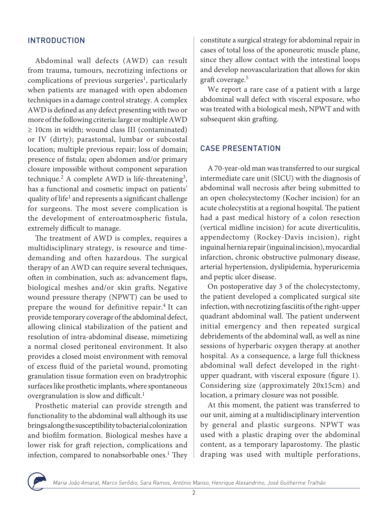## INTRODUCTION

Abdominal wall defects (AWD) can result from trauma, tumours, necrotizing infections or complications of previous surgeries<sup>1</sup>, particularly when patients are managed with open abdomen techniques in a damage control strategy. A complex AWD is defined as any defect presenting with two or more of the following criteria: large or multiple AWD ≥ 10cm in width; wound class III (contaminated) or IV (dirty); parastomal, lumbar or subcostal location; multiple previous repair; loss of domain; presence of fistula; open abdomen and/or primary closure impossible without component separation technique.<sup>2</sup> A complete AWD is life-threatening<sup>3</sup>, has a functional and cosmetic impact on patients' quality of life<sup>1</sup> and represents a significant challenge for surgeons. The most severe complication is the development of enteroatmospheric fistula, extremely difficult to manage.

The treatment of AWD is complex, requires a multidisciplinary strategy, is resource and timedemanding and often hazardous. The surgical therapy of an AWD can require several techniques, often in combination, such as: advancement flaps, biological meshes and/or skin grafts. Negative wound pressure therapy (NPWT) can be used to prepare the wound for definitive repair.<sup>4</sup> It can provide temporary coverage of the abdominal defect, allowing clinical stabilization of the patient and resolution of intra-abdominal disease, mimetizing a normal closed peritoneal environment. It also provides a closed moist environment with removal of excess fluid of the parietal wound, promoting granulation tissue formation even on bradytrophic surfaces like prosthetic implants, where spontaneous overgranulation is slow and difficult.<sup>1</sup>

Prosthetic material can provide strength and functionality to the abdominal wall although its use brings along the susceptibility to bacterial colonization and biofilm formation. Biological meshes have a lower risk for graft rejection, complications and infection, compared to nonabsorbable ones. $<sup>1</sup>$  They</sup> constitute a surgical strategy for abdominal repair in cases of total loss of the aponeurotic muscle plane, since they allow contact with the intestinal loops and develop neovascularization that allows for skin graft coverage.<sup>5</sup>

We report a rare case of a patient with a large abdominal wall defect with visceral exposure, who was treated with a biological mesh, NPWT and with subsequent skin grafting.

## CASE PRESENTATION

A 70-year-old man was transferred to our surgical intermediate care unit (SICU) with the diagnosis of abdominal wall necrosis after being submitted to an open cholecystectomy (Kocher incision) for an acute cholecystitis at a regional hospital. The patient had a past medical history of a colon resection (vertical midline incision) for acute diverticulitis, appendectomy (Rockey-Davis incision), right inguinal hernia repair (inguinal incision), myocardial infarction, chronic obstructive pulmonary disease, arterial hypertension, dyslipidemia, hyperuricemia and peptic ulcer disease.

On postoperative day 3 of the cholecystectomy, the patient developed a complicated surgical site infection, with necrotizing fasciitis of the right-upper quadrant abdominal wall. The patient underwent initial emergency and then repeated surgical debridements of the abdominal wall, as well as nine sessions of hyperbaric oxygen therapy at another hospital. As a consequence, a large full thickness abdominal wall defect developed in the rightupper quadrant, with visceral exposure (figure 1). Considering size (approximately 20x15cm) and location, a primary closure was not possible.

At this moment, the patient was transferred to our unit, aiming at a multidisciplinary intervention by general and plastic surgeons. NPWT was used with a plastic draping over the abdominal content, as a temporary laparostomy. The plastic draping was used with multiple perforations,

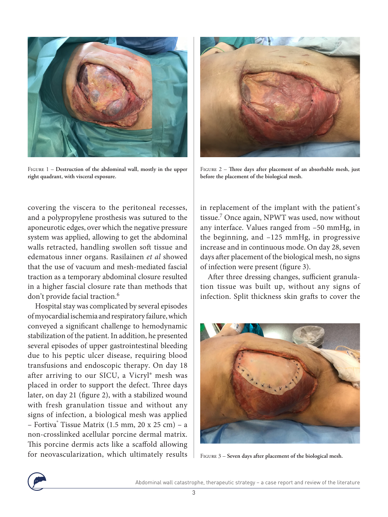

Figure 1 – **Destruction of the abdominal wall, mostly in the upper right quadrant, with visceral exposure.**

covering the viscera to the peritoneal recesses, and a polypropylene prosthesis was sutured to the aponeurotic edges, over which the negative pressure system was applied, allowing to get the abdominal walls retracted, handling swollen soft tissue and edematous inner organs. Rasilainen *et al* showed that the use of vacuum and mesh-mediated fascial traction as a temporary abdominal closure resulted in a higher fascial closure rate than methods that don't provide facial traction.<sup>6</sup>

Hospital stay was complicated by several episodes of myocardial ischemia and respiratory failure, which conveyed a significant challenge to hemodynamic stabilization of the patient. In addition, he presented several episodes of upper gastrointestinal bleeding due to his peptic ulcer disease, requiring blood transfusions and endoscopic therapy. On day 18 after arriving to our SICU, a Vicryl® mesh was placed in order to support the defect. Three days later, on day 21 (figure 2), with a stabilized wound with fresh granulation tissue and without any signs of infection, a biological mesh was applied – Fortiva® Tissue Matrix (1.5 mm, 20 x 25 cm) – a non-crosslinked acellular porcine dermal matrix. This porcine dermis acts like a scaffold allowing for neovascularization, which ultimately results



Figure 2 – **Three days after placement of an absorbable mesh, just before the placement of the biological mesh.**

in replacement of the implant with the patient's tissue.7 Once again, NPWT was used, now without any interface. Values ranged from –50 mmHg, in the beginning, and –125 mmHg, in progressive increase and in continuous mode. On day 28, seven days after placement of the biological mesh, no signs of infection were present (figure 3).

After three dressing changes, sufficient granulation tissue was built up, without any signs of infection. Split thickness skin grafts to cover the



Figure 3 – **Seven days after placement of the biological mesh.**

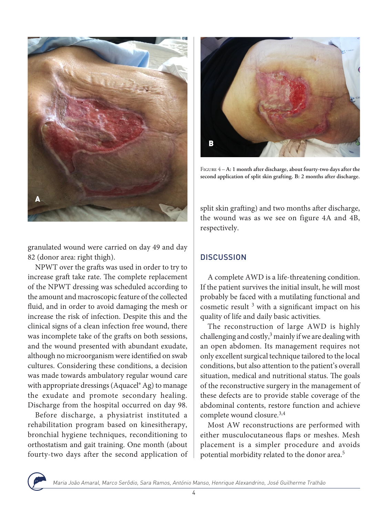

granulated wound were carried on day 49 and day 82 (donor area: right thigh).

NPWT over the grafts was used in order to try to increase graft take rate. The complete replacement of the NPWT dressing was scheduled according to the amount and macroscopic feature of the collected fluid, and in order to avoid damaging the mesh or increase the risk of infection. Despite this and the clinical signs of a clean infection free wound, there was incomplete take of the grafts on both sessions, and the wound presented with abundant exudate, although no microorganism were identified on swab cultures. Considering these conditions, a decision was made towards ambulatory regular wound care with appropriate dressings (Aquacel® Ag) to manage the exudate and promote secondary healing. Discharge from the hospital occurred on day 98.

Before discharge, a physiatrist instituted a rehabilitation program based on kinesitherapy, bronchial hygiene techniques, reconditioning to orthostatism and gait training. One month (about fourty-two days after the second application of



Figure 4 – **A: 1 month after discharge, about fourty-two days after the second application of split skin grafting. B: 2 months after discharge.**

split skin grafting) and two months after discharge, the wound was as we see on figure 4A and 4B, respectively.

## **DISCUSSION**

A complete AWD is a life-threatening condition. If the patient survives the initial insult, he will most probably be faced with a mutilating functional and cosmetic result  $3$  with a significant impact on his quality of life and daily basic activities.

The reconstruction of large AWD is highly challenging and costly, $3$  mainly if we are dealing with an open abdomen. Its management requires not only excellent surgical technique tailored to the local conditions, but also attention to the patient's overall situation, medical and nutritional status. The goals of the reconstructive surgery in the management of these defects are to provide stable coverage of the abdominal contents, restore function and achieve complete wound closure.3,4

Most AW reconstructions are performed with either musculocutaneous flaps or meshes. Mesh placement is a simpler procedure and avoids potential morbidity related to the donor area.5

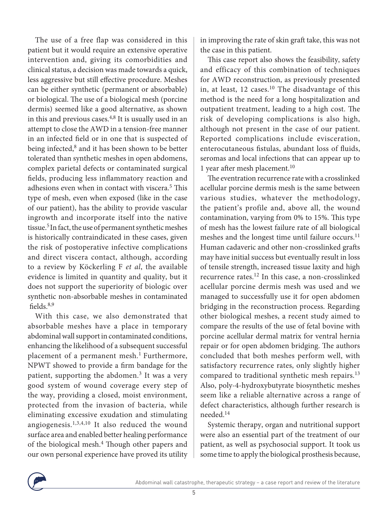The use of a free flap was considered in this patient but it would require an extensive operative intervention and, giving its comorbidities and clinical status, a decision was made towards a quick, less aggressive but still effective procedure. Meshes can be either synthetic (permanent or absorbable) or biological. The use of a biological mesh (porcine dermis) seemed like a good alternative, as shown in this and previous cases.<sup>4,8</sup> It is usually used in an attempt to close the AWD in a tension-free manner in an infected field or in one that is suspected of being infected,<sup>8</sup> and it has been shown to be better tolerated than synthetic meshes in open abdomens, complex parietal defects or contaminated surgical fields, producing less inflammatory reaction and adhesions even when in contact with viscera.<sup>5</sup> This type of mesh, even when exposed (like in the case of our patient), has the ability to provide vascular ingrowth and incorporate itself into the native tissue.5 In fact, the use of permanent synthetic meshes is historically contraindicated in these cases, given the risk of postoperative infective complications and direct viscera contact, although, according to a review by Köckerling F *et al*, the available evidence is limited in quantity and quality, but it does not support the superiority of biologic over synthetic non-absorbable meshes in contaminated fields. $8,9$ 

With this case, we also demonstrated that absorbable meshes have a place in temporary abdominal wall support in contaminated conditions, enhancing the likelihood of a subsequent successful placement of a permanent mesh.<sup>1</sup> Furthermore, NPWT showed to provide a firm bandage for the patient, supporting the abdomen.<sup>3</sup> It was a very good system of wound coverage every step of the way, providing a closed, moist environment, protected from the invasion of bacteria, while eliminating excessive exudation and stimulating angiogenesis.1,3,4,10 It also reduced the wound surface area and enabled better healing performance of the biological mesh.4 Though other papers and our own personal experience have proved its utility in improving the rate of skin graft take, this was not the case in this patient.

This case report also shows the feasibility, safety and efficacy of this combination of techniques for AWD reconstruction, as previously presented in, at least, 12 cases.10 The disadvantage of this method is the need for a long hospitalization and outpatient treatment, leading to a high cost. The risk of developing complications is also high, although not present in the case of our patient. Reported complications include evisceration, enterocutaneous fistulas, abundant loss of fluids, seromas and local infections that can appear up to 1 year after mesh placement.10

The eventration recurrence rate with a crosslinked acellular porcine dermis mesh is the same between various studies, whatever the methodology, the patient's profile and, above all, the wound contamination, varying from 0% to 15%. This type of mesh has the lowest failure rate of all biological meshes and the longest time until failure occurs.<sup>11</sup> Human cadaveric and other non-crosslinked grafts may have initial success but eventually result in loss of tensile strength, increased tissue laxity and high recurrence rates.12 In this case, a non-crosslinked acellular porcine dermis mesh was used and we managed to successfully use it for open abdomen bridging in the reconstruction process. Regarding other biological meshes, a recent study aimed to compare the results of the use of fetal bovine with porcine acellular dermal matrix for ventral hernia repair or for open abdomen bridging. The authors concluded that both meshes perform well, with satisfactory recurrence rates, only slightly higher compared to traditional synthetic mesh repairs.<sup>13</sup> Also, poly-4-hydroxybutyrate biosynthetic meshes seem like a reliable alternative across a range of defect characteristics, although further research is needed.14

Systemic therapy, organ and nutritional support were also an essential part of the treatment of our patient, as well as psychosocial support. It took us some time to apply the biological prosthesis because,